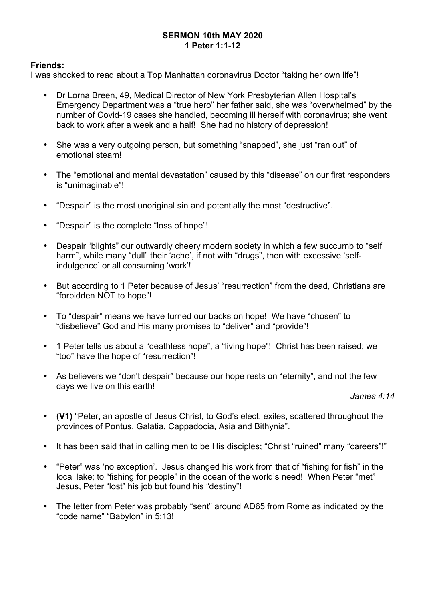# **SERMON 10th MAY 2020 1 Peter 1:1-12**

# **Friends:**

I was shocked to read about a Top Manhattan coronavirus Doctor "taking her own life"!

- Dr Lorna Breen, 49, Medical Director of New York Presbyterian Allen Hospital's Emergency Department was a "true hero" her father said, she was "overwhelmed" by the number of Covid-19 cases she handled, becoming ill herself with coronavirus; she went back to work after a week and a half! She had no history of depression!
- She was a very outgoing person, but something "snapped", she just "ran out" of emotional steam!
- The "emotional and mental devastation" caused by this "disease" on our first responders is "unimaginable"!
- "Despair" is the most unoriginal sin and potentially the most "destructive".
- "Despair" is the complete "loss of hope"!
- Despair "blights" our outwardly cheery modern society in which a few succumb to "self harm", while many "dull" their 'ache', if not with "drugs", then with excessive 'selfindulgence' or all consuming 'work'!
- But according to 1 Peter because of Jesus' "resurrection" from the dead, Christians are "forbidden NOT to hope"!
- To "despair" means we have turned our backs on hope! We have "chosen" to "disbelieve" God and His many promises to "deliver" and "provide"!
- 1 Peter tells us about a "deathless hope", a "living hope"! Christ has been raised; we "too" have the hope of "resurrection"!
- As believers we "don't despair" because our hope rests on "eternity", and not the few days we live on this earth!

#### *James 4:14*

- **(V1)** "Peter, an apostle of Jesus Christ, to God's elect, exiles, scattered throughout the provinces of Pontus, Galatia, Cappadocia, Asia and Bithynia".
- It has been said that in calling men to be His disciples; "Christ "ruined" many "careers"!"
- "Peter" was 'no exception'. Jesus changed his work from that of "fishing for fish" in the local lake; to "fishing for people" in the ocean of the world's need! When Peter "met" Jesus, Peter "lost" his job but found his "destiny"!
- The letter from Peter was probably "sent" around AD65 from Rome as indicated by the "code name" "Babylon" in 5:13!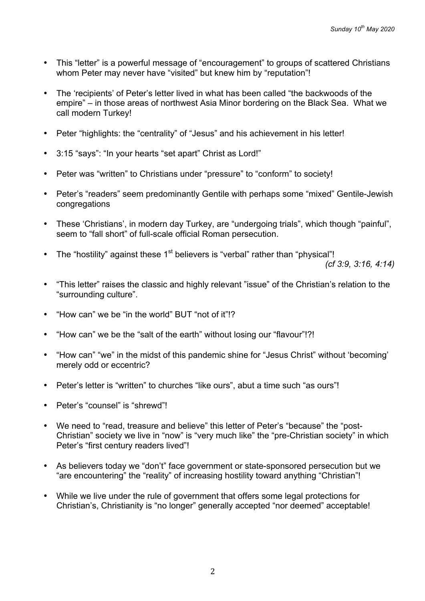- This "letter" is a powerful message of "encouragement" to groups of scattered Christians whom Peter may never have "visited" but knew him by "reputation"!
- The 'recipients' of Peter's letter lived in what has been called "the backwoods of the empire" – in those areas of northwest Asia Minor bordering on the Black Sea. What we call modern Turkey!
- Peter "highlights: the "centrality" of "Jesus" and his achievement in his letter!
- 3:15 "says": "In your hearts "set apart" Christ as Lord!"
- Peter was "written" to Christians under "pressure" to "conform" to society!
- Peter's "readers" seem predominantly Gentile with perhaps some "mixed" Gentile-Jewish congregations
- These 'Christians', in modern day Turkey, are "undergoing trials", which though "painful", seem to "fall short" of full-scale official Roman persecution.
- The "hostility" against these  $1<sup>st</sup>$  believers is "verbal" rather than "physical"!

*(cf 3:9, 3:16, 4:14)*

- "This letter" raises the classic and highly relevant "issue" of the Christian's relation to the "surrounding culture".
- "How can" we be "in the world" BUT "not of it"!?
- "How can" we be the "salt of the earth" without losing our "flavour"!?!
- "How can" "we" in the midst of this pandemic shine for "Jesus Christ" without 'becoming' merely odd or eccentric?
- Peter's letter is "written" to churches "like ours", abut a time such "as ours"!
- Peter's "counsel" is "shrewd"!
- We need to "read, treasure and believe" this letter of Peter's "because" the "post-Christian" society we live in "now" is "very much like" the "pre-Christian society" in which Peter's "first century readers lived"!
- As believers today we "don't" face government or state-sponsored persecution but we "are encountering" the "reality" of increasing hostility toward anything "Christian"!
- While we live under the rule of government that offers some legal protections for Christian's, Christianity is "no longer" generally accepted "nor deemed" acceptable!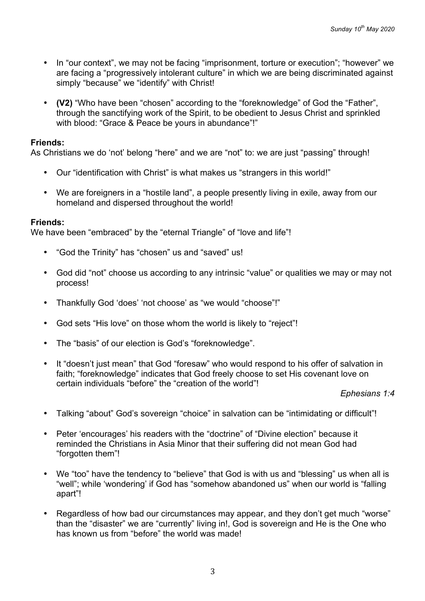- In "our context", we may not be facing "imprisonment, torture or execution"; "however" we are facing a "progressively intolerant culture" in which we are being discriminated against simply "because" we "identify" with Christ!
- **(V2)** "Who have been "chosen" according to the "foreknowledge" of God the "Father", through the sanctifying work of the Spirit, to be obedient to Jesus Christ and sprinkled with blood: "Grace & Peace be yours in abundance"!"

As Christians we do 'not' belong "here" and we are "not" to: we are just "passing" through!

- Our "identification with Christ" is what makes us "strangers in this world!"
- We are foreigners in a "hostile land", a people presently living in exile, away from our homeland and dispersed throughout the world!

#### **Friends:**

We have been "embraced" by the "eternal Triangle" of "love and life"!

- "God the Trinity" has "chosen" us and "saved" us!
- God did "not" choose us according to any intrinsic "value" or qualities we may or may not process!
- Thankfully God 'does' 'not choose' as "we would "choose"!"
- God sets "His love" on those whom the world is likely to "reject"!
- The "basis" of our election is God's "foreknowledge".
- It "doesn't just mean" that God "foresaw" who would respond to his offer of salvation in faith; "foreknowledge" indicates that God freely choose to set His covenant love on certain individuals "before" the "creation of the world"!

#### *Ephesians 1:4*

- Talking "about" God's sovereign "choice" in salvation can be "intimidating or difficult"!
- Peter 'encourages' his readers with the "doctrine" of "Divine election" because it reminded the Christians in Asia Minor that their suffering did not mean God had "forgotten them"!
- We "too" have the tendency to "believe" that God is with us and "blessing" us when all is "well"; while 'wondering' if God has "somehow abandoned us" when our world is "falling apart"!
- Regardless of how bad our circumstances may appear, and they don't get much "worse" than the "disaster" we are "currently" living in!, God is sovereign and He is the One who has known us from "before" the world was made!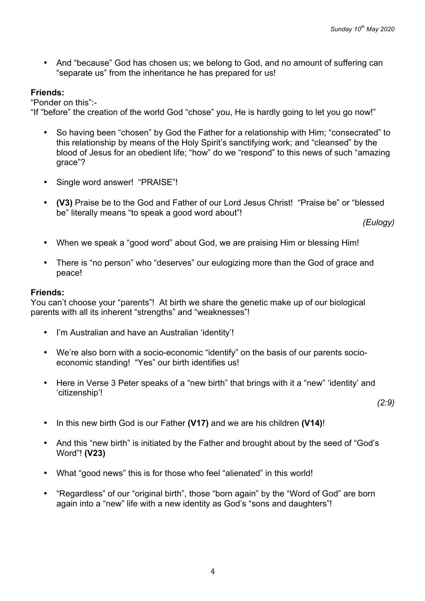• And "because" God has chosen us; we belong to God, and no amount of suffering can "separate us" from the inheritance he has prepared for us!

# **Friends:**

"Ponder on this":-

"If "before" the creation of the world God "chose" you, He is hardly going to let you go now!"

- So having been "chosen" by God the Father for a relationship with Him; "consecrated" to this relationship by means of the Holy Spirit's sanctifying work; and "cleansed" by the blood of Jesus for an obedient life; "how" do we "respond" to this news of such "amazing grace"?
- Single word answer! "PRAISE"!
- **(V3)** Praise be to the God and Father of our Lord Jesus Christ! "Praise be" or "blessed be" literally means "to speak a good word about"!

*(Eulogy)*

- When we speak a "good word" about God, we are praising Him or blessing Him!
- There is "no person" who "deserves" our eulogizing more than the God of grace and peace!

### **Friends:**

You can't choose your "parents"! At birth we share the genetic make up of our biological parents with all its inherent "strengths" and "weaknesses"!

- I'm Australian and have an Australian 'identity'!
- We're also born with a socio-economic "identify" on the basis of our parents socioeconomic standing! "Yes" our birth identifies us!
- Here in Verse 3 Peter speaks of a "new birth" that brings with it a "new" 'identity' and 'citizenship'!

*(2:9)*

- In this new birth God is our Father **(V17)** and we are his children **(V14)**!
- And this "new birth" is initiated by the Father and brought about by the seed of "God's Word"! **(V23)**
- What "good news" this is for those who feel "alienated" in this world!
- "Regardless" of our "original birth", those "born again" by the "Word of God" are born again into a "new" life with a new identity as God's "sons and daughters"!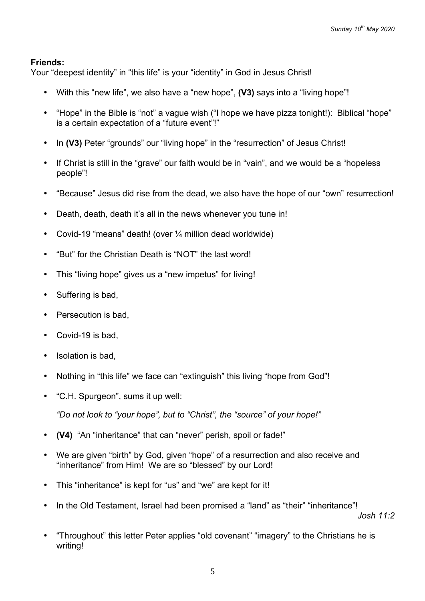Your "deepest identity" in "this life" is your "identity" in God in Jesus Christ!

- With this "new life", we also have a "new hope", **(V3)** says into a "living hope"!
- "Hope" in the Bible is "not" a vague wish ("I hope we have pizza tonight!): Biblical "hope" is a certain expectation of a "future event"!"
- In **(V3)** Peter "grounds" our "living hope" in the "resurrection" of Jesus Christ!
- If Christ is still in the "grave" our faith would be in "vain", and we would be a "hopeless people"!
- "Because" Jesus did rise from the dead, we also have the hope of our "own" resurrection!
- Death, death, death it's all in the news whenever you tune in!
- Covid-19 "means" death! (over 1/4 million dead worldwide)
- "But" for the Christian Death is "NOT" the last word!
- This "living hope" gives us a "new impetus" for living!
- Suffering is bad,
- Persecution is bad,
- Covid-19 is bad,
- Isolation is bad.
- Nothing in "this life" we face can "extinguish" this living "hope from God"!
- "C.H. Spurgeon", sums it up well:

*"Do not look to "your hope", but to "Christ", the "source" of your hope!"*

- **(V4)** "An "inheritance" that can "never" perish, spoil or fade!"
- We are given "birth" by God, given "hope" of a resurrection and also receive and "inheritance" from Him! We are so "blessed" by our Lord!
- This "inheritance" is kept for "us" and "we" are kept for it!
- In the Old Testament, Israel had been promised a "land" as "their" "inheritance"!

*Josh 11:2*

• "Throughout" this letter Peter applies "old covenant" "imagery" to the Christians he is writing!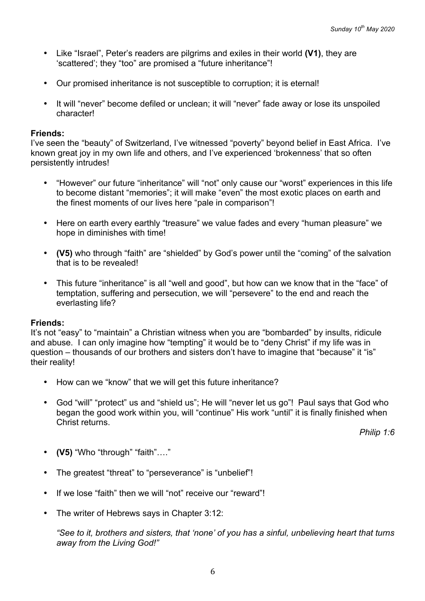- Like "Israel", Peter's readers are pilgrims and exiles in their world **(V1)**, they are 'scattered'; they "too" are promised a "future inheritance"!
- Our promised inheritance is not susceptible to corruption; it is eternal!
- It will "never" become defiled or unclean; it will "never" fade away or lose its unspoiled character!

I've seen the "beauty" of Switzerland, I've witnessed "poverty" beyond belief in East Africa. I've known great joy in my own life and others, and I've experienced 'brokenness' that so often persistently intrudes!

- "However" our future "inheritance" will "not" only cause our "worst" experiences in this life to become distant "memories"; it will make "even" the most exotic places on earth and the finest moments of our lives here "pale in comparison"!
- Here on earth every earthly "treasure" we value fades and every "human pleasure" we hope in diminishes with time!
- **(V5)** who through "faith" are "shielded" by God's power until the "coming" of the salvation that is to be revealed!
- This future "inheritance" is all "well and good", but how can we know that in the "face" of temptation, suffering and persecution, we will "persevere" to the end and reach the everlasting life?

## **Friends:**

It's not "easy" to "maintain" a Christian witness when you are "bombarded" by insults, ridicule and abuse. I can only imagine how "tempting" it would be to "deny Christ" if my life was in question – thousands of our brothers and sisters don't have to imagine that "because" it "is" their reality!

- How can we "know" that we will get this future inheritance?
- God "will" "protect" us and "shield us"; He will "never let us go"! Paul says that God who began the good work within you, will "continue" His work "until" it is finally finished when Christ returns.

*Philip 1:6*

- **(V5)** "Who "through" "faith"…."
- The greatest "threat" to "perseverance" is "unbelief"!
- If we lose "faith" then we will "not" receive our "reward"!
- The writer of Hebrews says in Chapter 3:12:

*"See to it, brothers and sisters, that 'none' of you has a sinful, unbelieving heart that turns away from the Living God!"*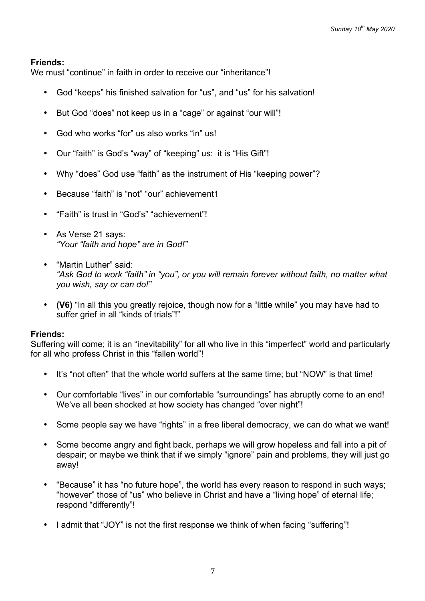We must "continue" in faith in order to receive our "inheritance"!

- God "keeps" his finished salvation for "us", and "us" for his salvation!
- But God "does" not keep us in a "cage" or against "our will"!
- God who works "for" us also works "in" us!
- Our "faith" is God's "way" of "keeping" us: it is "His Gift"!
- Why "does" God use "faith" as the instrument of His "keeping power"?
- Because "faith" is "not" "our" achievement1
- "Faith" is trust in "God's" "achievement"!
- As Verse 21 says: *"Your "faith and hope" are in God!"*
- "Martin Luther" said: *"Ask God to work "faith" in "you", or you will remain forever without faith, no matter what you wish, say or can do!"*
- **(V6)** "In all this you greatly rejoice, though now for a "little while" you may have had to suffer grief in all "kinds of trials"!"

#### **Friends:**

Suffering will come; it is an "inevitability" for all who live in this "imperfect" world and particularly for all who profess Christ in this "fallen world"!

- It's "not often" that the whole world suffers at the same time; but "NOW" is that time!
- Our comfortable "lives" in our comfortable "surroundings" has abruptly come to an end! We've all been shocked at how society has changed "over night"!
- Some people say we have "rights" in a free liberal democracy, we can do what we want!
- Some become angry and fight back, perhaps we will grow hopeless and fall into a pit of despair; or maybe we think that if we simply "ignore" pain and problems, they will just go away!
- "Because" it has "no future hope", the world has every reason to respond in such ways; "however" those of "us" who believe in Christ and have a "living hope" of eternal life; respond "differently"!
- I admit that "JOY" is not the first response we think of when facing "suffering"!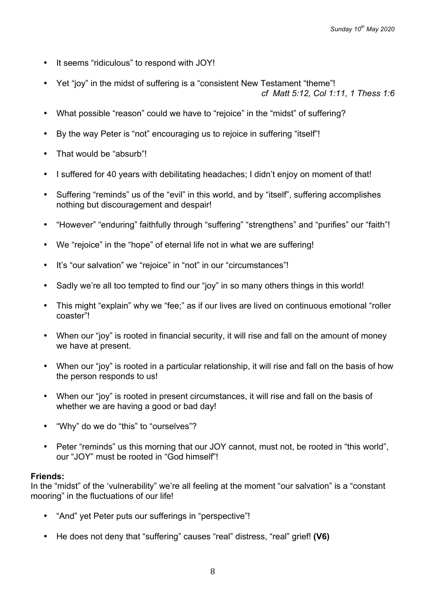- It seems "ridiculous" to respond with JOY!
- Yet "joy" in the midst of suffering is a "consistent New Testament "theme"! *cf Matt 5:12, Col 1:11, 1 Thess 1:6*
- What possible "reason" could we have to "rejoice" in the "midst" of suffering?
- By the way Peter is "not" encouraging us to rejoice in suffering "itself"!
- That would be "absurb"!
- I suffered for 40 years with debilitating headaches; I didn't enjoy on moment of that!
- Suffering "reminds" us of the "evil" in this world, and by "itself", suffering accomplishes nothing but discouragement and despair!
- "However" "enduring" faithfully through "suffering" "strengthens" and "purifies" our "faith"!
- We "rejoice" in the "hope" of eternal life not in what we are suffering!
- It's "our salvation" we "rejoice" in "not" in our "circumstances"!
- Sadly we're all too tempted to find our "joy" in so many others things in this world!
- This might "explain" why we "fee;" as if our lives are lived on continuous emotional "roller coaster"!
- When our "joy" is rooted in financial security, it will rise and fall on the amount of money we have at present.
- When our "joy" is rooted in a particular relationship, it will rise and fall on the basis of how the person responds to us!
- When our "joy" is rooted in present circumstances, it will rise and fall on the basis of whether we are having a good or bad day!
- "Why" do we do "this" to "ourselves"?
- Peter "reminds" us this morning that our JOY cannot, must not, be rooted in "this world", our "JOY" must be rooted in "God himself"!

In the "midst" of the 'vulnerability" we're all feeling at the moment "our salvation" is a "constant mooring" in the fluctuations of our life!

- "And" yet Peter puts our sufferings in "perspective"!
- He does not deny that "suffering" causes "real" distress, "real" grief! **(V6)**